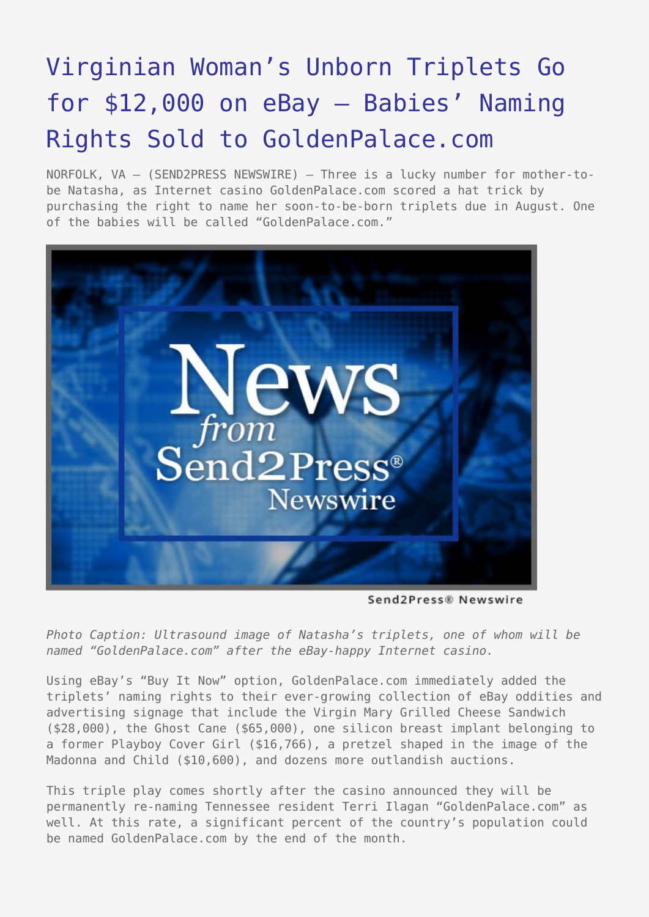## [Virginian Woman's Unborn Triplets Go](https://www.send2press.com/wire/2005-04-0411-002/) [for \\$12,000 on eBay – Babies' Naming](https://www.send2press.com/wire/2005-04-0411-002/) [Rights Sold to GoldenPalace.com](https://www.send2press.com/wire/2005-04-0411-002/)

NORFOLK, VA — (SEND2PRESS NEWSWIRE) — Three is a lucky number for mother-tobe Natasha, as Internet casino GoldenPalace.com scored a hat trick by purchasing the right to name her soon-to-be-born triplets due in August. One of the babies will be called "GoldenPalace.com."



Send2Press® Newswire

*Photo Caption: Ultrasound image of Natasha's triplets, one of whom will be named "GoldenPalace.com" after the eBay-happy Internet casino.*

Using eBay's "Buy It Now" option, GoldenPalace.com immediately added the triplets' naming rights to their ever-growing collection of eBay oddities and advertising signage that include the Virgin Mary Grilled Cheese Sandwich (\$28,000), the Ghost Cane (\$65,000), one silicon breast implant belonging to a former Playboy Cover Girl (\$16,766), a pretzel shaped in the image of the Madonna and Child (\$10,600), and dozens more outlandish auctions.

This triple play comes shortly after the casino announced they will be permanently re-naming Tennessee resident Terri Ilagan "GoldenPalace.com" as well. At this rate, a significant percent of the country's population could be named GoldenPalace.com by the end of the month.